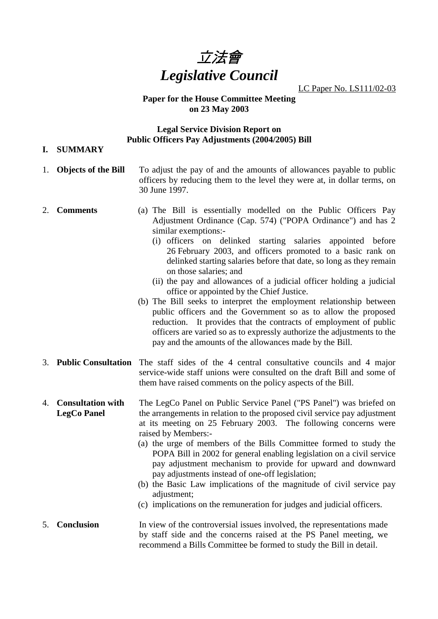

LC Paper No. LS111/02-03

### **Paper for the House Committee Meeting on 23 May 2003**

## **Legal Service Division Report on Public Officers Pay Adjustments (2004/2005) Bill**

**I. SUMMARY**

|    | 1. Objects of the Bill                         | To adjust the pay of and the amounts of allowances payable to public<br>officers by reducing them to the level they were at, in dollar terms, on<br>30 June 1997.                                                                                                                                                                                                                                                                                                                                                                                                                                                                                                                                                                                                                                                                                              |
|----|------------------------------------------------|----------------------------------------------------------------------------------------------------------------------------------------------------------------------------------------------------------------------------------------------------------------------------------------------------------------------------------------------------------------------------------------------------------------------------------------------------------------------------------------------------------------------------------------------------------------------------------------------------------------------------------------------------------------------------------------------------------------------------------------------------------------------------------------------------------------------------------------------------------------|
| 2. | <b>Comments</b>                                | (a) The Bill is essentially modelled on the Public Officers Pay<br>Adjustment Ordinance (Cap. 574) ("POPA Ordinance") and has 2<br>similar exemptions:-<br>(i) officers on delinked starting salaries appointed before<br>26 February 2003, and officers promoted to a basic rank on<br>delinked starting salaries before that date, so long as they remain<br>on those salaries; and<br>(ii) the pay and allowances of a judicial officer holding a judicial<br>office or appointed by the Chief Justice.<br>(b) The Bill seeks to interpret the employment relationship between<br>public officers and the Government so as to allow the proposed<br>reduction. It provides that the contracts of employment of public<br>officers are varied so as to expressly authorize the adjustments to the<br>pay and the amounts of the allowances made by the Bill. |
|    |                                                | 3. Public Consultation The staff sides of the 4 central consultative councils and 4 major<br>service-wide staff unions were consulted on the draft Bill and some of<br>them have raised comments on the policy aspects of the Bill.                                                                                                                                                                                                                                                                                                                                                                                                                                                                                                                                                                                                                            |
| 4. | <b>Consultation with</b><br><b>LegCo Panel</b> | The LegCo Panel on Public Service Panel ("PS Panel") was briefed on<br>the arrangements in relation to the proposed civil service pay adjustment<br>at its meeting on 25 February 2003. The following concerns were<br>raised by Members:-<br>(a) the urge of members of the Bills Committee formed to study the<br>POPA Bill in 2002 for general enabling legislation on a civil service<br>pay adjustment mechanism to provide for upward and downward<br>pay adjustments instead of one-off legislation;<br>(b) the Basic Law implications of the magnitude of civil service pay<br>adjustment;<br>(c) implications on the remuneration for judges and judicial officers.                                                                                                                                                                                   |
| 5. | Conclusion                                     | In view of the controversial issues involved, the representations made<br>by staff side and the concerns raised at the PS Panel meeting, we<br>recommend a Bills Committee be formed to study the Bill in detail.                                                                                                                                                                                                                                                                                                                                                                                                                                                                                                                                                                                                                                              |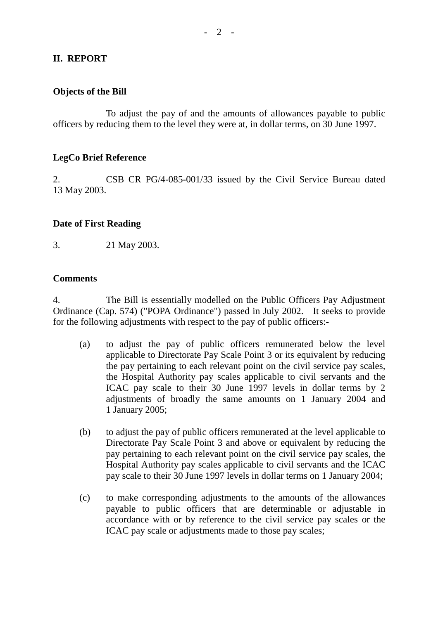# **II. REPORT**

#### **Objects of the Bill**

To adjust the pay of and the amounts of allowances payable to public officers by reducing them to the level they were at, in dollar terms, on 30 June 1997.

#### **LegCo Brief Reference**

2. CSB CR PG/4-085-001/33 issued by the Civil Service Bureau dated 13 May 2003.

#### **Date of First Reading**

3. 21 May 2003.

#### **Comments**

4. The Bill is essentially modelled on the Public Officers Pay Adjustment Ordinance (Cap. 574) ("POPA Ordinance") passed in July 2002. It seeks to provide for the following adjustments with respect to the pay of public officers:-

- (a) to adjust the pay of public officers remunerated below the level applicable to Directorate Pay Scale Point 3 or its equivalent by reducing the pay pertaining to each relevant point on the civil service pay scales, the Hospital Authority pay scales applicable to civil servants and the ICAC pay scale to their 30 June 1997 levels in dollar terms by 2 adjustments of broadly the same amounts on 1 January 2004 and 1 January 2005;
- (b) to adjust the pay of public officers remunerated at the level applicable to Directorate Pay Scale Point 3 and above or equivalent by reducing the pay pertaining to each relevant point on the civil service pay scales, the Hospital Authority pay scales applicable to civil servants and the ICAC pay scale to their 30 June 1997 levels in dollar terms on 1 January 2004;
- (c) to make corresponding adjustments to the amounts of the allowances payable to public officers that are determinable or adjustable in accordance with or by reference to the civil service pay scales or the ICAC pay scale or adjustments made to those pay scales;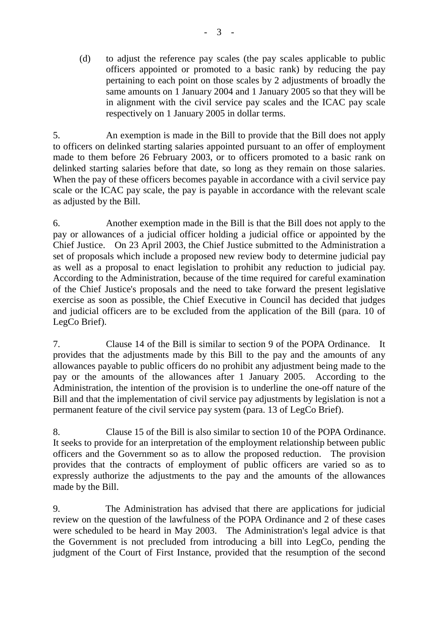(d) to adjust the reference pay scales (the pay scales applicable to public officers appointed or promoted to a basic rank) by reducing the pay pertaining to each point on those scales by 2 adjustments of broadly the same amounts on 1 January 2004 and 1 January 2005 so that they will be in alignment with the civil service pay scales and the ICAC pay scale respectively on 1 January 2005 in dollar terms.

5. An exemption is made in the Bill to provide that the Bill does not apply to officers on delinked starting salaries appointed pursuant to an offer of employment made to them before 26 February 2003, or to officers promoted to a basic rank on delinked starting salaries before that date, so long as they remain on those salaries. When the pay of these officers becomes payable in accordance with a civil service pay scale or the ICAC pay scale, the pay is payable in accordance with the relevant scale as adjusted by the Bill.

6. Another exemption made in the Bill is that the Bill does not apply to the pay or allowances of a judicial officer holding a judicial office or appointed by the Chief Justice. On 23 April 2003, the Chief Justice submitted to the Administration a set of proposals which include a proposed new review body to determine judicial pay as well as a proposal to enact legislation to prohibit any reduction to judicial pay. According to the Administration, because of the time required for careful examination of the Chief Justice's proposals and the need to take forward the present legislative exercise as soon as possible, the Chief Executive in Council has decided that judges and judicial officers are to be excluded from the application of the Bill (para. 10 of LegCo Brief).

7. Clause 14 of the Bill is similar to section 9 of the POPA Ordinance. It provides that the adjustments made by this Bill to the pay and the amounts of any allowances payable to public officers do no prohibit any adjustment being made to the pay or the amounts of the allowances after 1 January 2005. According to the Administration, the intention of the provision is to underline the one-off nature of the Bill and that the implementation of civil service pay adjustments by legislation is not a permanent feature of the civil service pay system (para. 13 of LegCo Brief).

8. Clause 15 of the Bill is also similar to section 10 of the POPA Ordinance. It seeks to provide for an interpretation of the employment relationship between public officers and the Government so as to allow the proposed reduction. The provision provides that the contracts of employment of public officers are varied so as to expressly authorize the adjustments to the pay and the amounts of the allowances made by the Bill.

9. The Administration has advised that there are applications for judicial review on the question of the lawfulness of the POPA Ordinance and 2 of these cases were scheduled to be heard in May 2003. The Administration's legal advice is that the Government is not precluded from introducing a bill into LegCo, pending the judgment of the Court of First Instance, provided that the resumption of the second